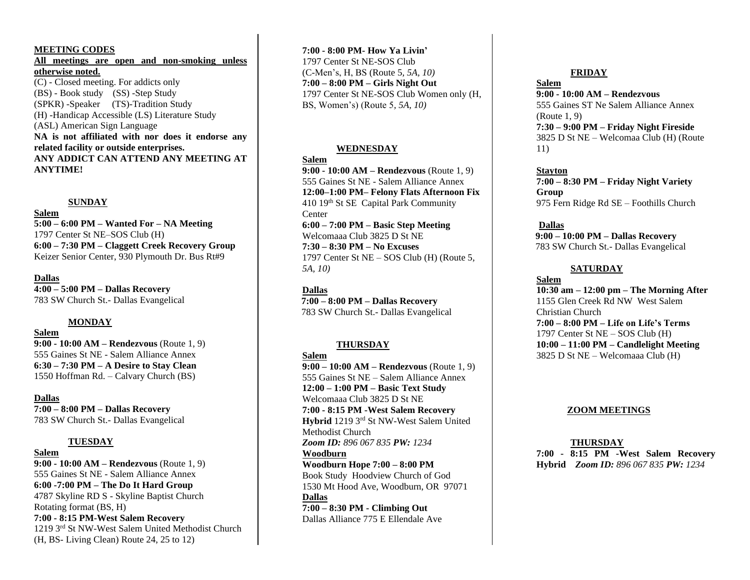#### **MEETING CODES**

**All meetings are open and non-smoking unless otherwise noted.** (C) - Closed meeting. For addicts only (BS) - Book study (SS) -Step Study (SPKR) -Speaker (TS)-Tradition Study (H) -Handicap Accessible (LS) Literature Study (ASL) American Sign Language **NA is not affiliated with nor does it endorse any related facility or outside enterprises. ANY ADDICT CAN ATTEND ANY MEETING AT ANYTIME!**

#### **SUNDAY**

#### **Salem**

**5:00 – 6:00 PM – Wanted For – NA Meeting** 1797 Center St NE–SOS Club (H) **6:00 – 7:30 PM – Claggett Creek Recovery Group** Keizer Senior Center, 930 Plymouth Dr. Bus Rt#9

#### **Dallas**

**4:00 – 5:00 PM – Dallas Recovery** 783 SW Church St.- Dallas Evangelical

#### **MONDAY**

**Salem**

**9:00 - 10:00 AM – Rendezvous** (Route 1, 9) 555 Gaines St NE - Salem Alliance Annex **6:30 – 7:30 PM – A Desire to Stay Clean** 1550 Hoffman Rd. – Calvary Church (BS)

#### **Dallas**

**7:00 – 8:00 PM – Dallas Recovery** 783 SW Church St.- Dallas Evangelical

#### **TUESDAY**

**Salem 9:00 - 10:00 AM – Rendezvous** (Route 1, 9) 555 Gaines St NE - Salem Alliance Annex **6:00 -7:00 PM – The Do It Hard Group** 4787 Skyline RD S - Skyline Baptist Church Rotating format (BS, H) **7:00 - 8:15 PM-West Salem Recovery** 1219 3rd St NW-West Salem United Methodist Church (H, BS- Living Clean) Route 24, 25 to 12)

**7:00 - 8:00 PM- How Ya Livin'** 1797 Center St NE-SOS Club (C-Men's, H, BS (Route 5*, 5A, 10)* **7:00 – 8:00 PM – Girls Night Out** 1797 Center St NE-SOS Club Women only (H, BS, Women's) (Route 5*, 5A, 10)*

#### **WEDNESDAY**

#### **Salem**

**9:00 - 10:00 AM – Rendezvous** (Route 1, 9) 555 Gaines St NE - Salem Alliance Annex **12:00–1:00 PM– Felony Flats Afternoon Fix** 410 19th St SE Capital Park Community Center **6:00 – 7:00 PM – Basic Step Meeting** Welcomaaa Club 3825 D St NE **7:30 – 8:30 PM – No Excuses** 1797 Center St NE – SOS Club (H) (Route 5*, 5A, 10)*

#### **Dallas**

 **7:00 – 8:00 PM – Dallas Recovery** 783 SW Church St.- Dallas Evangelical

#### **THURSDAY**

**Salem 9:00 – 10:00 AM – Rendezvous** (Route 1, 9) 555 Gaines St NE – Salem Alliance Annex **12:00 – 1:00 PM – Basic Text Study** Welcomaaa Club 3825 D St NE **7:00 - 8:15 PM -West Salem Recovery Hybrid** 1219 3rd St NW-West Salem United Methodist Church *Zoom ID: 896 067 835 PW: 1234* **Woodburn Woodburn Hope 7:00 – 8:00 PM** Book Study Hoodview Church of God 1530 Mt Hood Ave, Woodburn, OR 97071 **Dallas 7:00 – 8:30 PM - Climbing Out** Dallas Alliance 775 E Ellendale Ave

#### **FRIDAY**

**Salem 9:00 - 10:00 AM – Rendezvous** 555 Gaines ST Ne Salem Alliance Annex (Route 1, 9) **7:30 – 9:00 PM – Friday Night Fireside** 3825 D St NE – Welcomaa Club (H) (Route 11)

**Stayton 7:00 – 8:30 PM – Friday Night Variety Group** 975 Fern Ridge Rd SE – Foothills Church

**Dallas 9:00 – 10:00 PM – Dallas Recovery** 783 SW Church St.- Dallas Evangelical

#### **SATURDAY**

**Salem 10:30 am – 12:00 pm – The Morning After** 1155 Glen Creek Rd NW West Salem Christian Church **7:00 – 8:00 PM – Life on Life's Terms** 1797 Center St NE – SOS Club (H) **10:00 – 11:00 PM – Candlelight Meeting** 3825 D St NE – Welcomaaa Club (H)

#### **ZOOM MEETINGS**

#### **THURSDAY**

**7:00 - 8:15 PM -West Salem Recovery Hybrid** *Zoom ID: 896 067 835 PW: 1234*